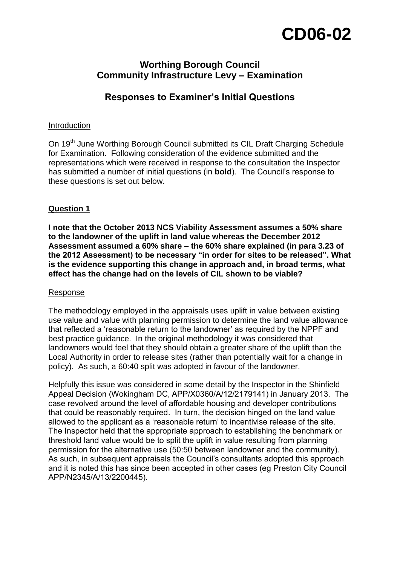# **CD06-02**

# **Worthing Borough Council Community Infrastructure Levy – Examination**

# **Responses to Examiner's Initial Questions**

#### Introduction

On 19<sup>th</sup> June Worthing Borough Council submitted its CIL Draft Charging Schedule for Examination. Following consideration of the evidence submitted and the representations which were received in response to the consultation the Inspector has submitted a number of initial questions (in **bold**). The Council's response to these questions is set out below.

## **Question 1**

**I note that the October 2013 NCS Viability Assessment assumes a 50% share to the landowner of the uplift in land value whereas the December 2012 Assessment assumed a 60% share – the 60% share explained (in para 3.23 of the 2012 Assessment) to be necessary "in order for sites to be released". What is the evidence supporting this change in approach and, in broad terms, what effect has the change had on the levels of CIL shown to be viable?**

#### Response

The methodology employed in the appraisals uses uplift in value between existing use value and value with planning permission to determine the land value allowance that reflected a 'reasonable return to the landowner' as required by the NPPF and best practice guidance. In the original methodology it was considered that landowners would feel that they should obtain a greater share of the uplift than the Local Authority in order to release sites (rather than potentially wait for a change in policy). As such, a 60:40 split was adopted in favour of the landowner.

Helpfully this issue was considered in some detail by the Inspector in the Shinfield Appeal Decision (Wokingham DC, APP/X0360/A/12/2179141) in January 2013. The case revolved around the level of affordable housing and developer contributions that could be reasonably required. In turn, the decision hinged on the land value allowed to the applicant as a 'reasonable return' to incentivise release of the site. The Inspector held that the appropriate approach to establishing the benchmark or threshold land value would be to split the uplift in value resulting from planning permission for the alternative use (50:50 between landowner and the community). As such, in subsequent appraisals the Council's consultants adopted this approach and it is noted this has since been accepted in other cases (eg Preston City Council APP/N2345/A/13/2200445).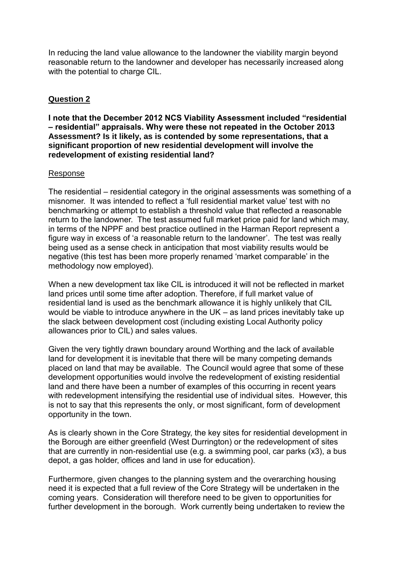In reducing the land value allowance to the landowner the viability margin beyond reasonable return to the landowner and developer has necessarily increased along with the potential to charge CIL.

# **Question 2**

**I note that the December 2012 NCS Viability Assessment included "residential – residential" appraisals. Why were these not repeated in the October 2013 Assessment? Is it likely, as is contended by some representations, that a significant proportion of new residential development will involve the redevelopment of existing residential land?**

#### Response

The residential – residential category in the original assessments was something of a misnomer. It was intended to reflect a 'full residential market value' test with no benchmarking or attempt to establish a threshold value that reflected a reasonable return to the landowner. The test assumed full market price paid for land which may, in terms of the NPPF and best practice outlined in the Harman Report represent a figure way in excess of 'a reasonable return to the landowner'. The test was really being used as a sense check in anticipation that most viability results would be negative (this test has been more properly renamed 'market comparable' in the methodology now employed).

When a new development tax like CIL is introduced it will not be reflected in market land prices until some time after adoption. Therefore, if full market value of residential land is used as the benchmark allowance it is highly unlikely that CIL would be viable to introduce anywhere in the UK – as land prices inevitably take up the slack between development cost (including existing Local Authority policy allowances prior to CIL) and sales values.

Given the very tightly drawn boundary around Worthing and the lack of available land for development it is inevitable that there will be many competing demands placed on land that may be available. The Council would agree that some of these development opportunities would involve the redevelopment of existing residential land and there have been a number of examples of this occurring in recent years with redevelopment intensifying the residential use of individual sites. However, this is not to say that this represents the only, or most significant, form of development opportunity in the town.

As is clearly shown in the Core Strategy, the key sites for residential development in the Borough are either greenfield (West Durrington) or the redevelopment of sites that are currently in non-residential use (e.g. a swimming pool, car parks (x3), a bus depot, a gas holder, offices and land in use for education).

Furthermore, given changes to the planning system and the overarching housing need it is expected that a full review of the Core Strategy will be undertaken in the coming years. Consideration will therefore need to be given to opportunities for further development in the borough. Work currently being undertaken to review the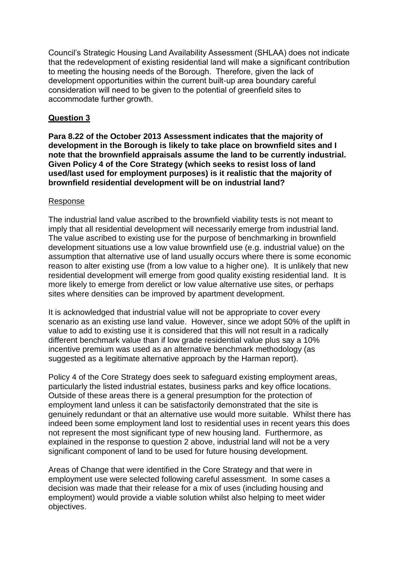Council's Strategic Housing Land Availability Assessment (SHLAA) does not indicate that the redevelopment of existing residential land will make a significant contribution to meeting the housing needs of the Borough. Therefore, given the lack of development opportunities within the current built-up area boundary careful consideration will need to be given to the potential of greenfield sites to accommodate further growth.

## **Question 3**

**Para 8.22 of the October 2013 Assessment indicates that the majority of development in the Borough is likely to take place on brownfield sites and I note that the brownfield appraisals assume the land to be currently industrial. Given Policy 4 of the Core Strategy (which seeks to resist loss of land used/last used for employment purposes) is it realistic that the majority of brownfield residential development will be on industrial land?**

#### Response

The industrial land value ascribed to the brownfield viability tests is not meant to imply that all residential development will necessarily emerge from industrial land. The value ascribed to existing use for the purpose of benchmarking in brownfield development situations use a low value brownfield use (e.g. industrial value) on the assumption that alternative use of land usually occurs where there is some economic reason to alter existing use (from a low value to a higher one). It is unlikely that new residential development will emerge from good quality existing residential land. It is more likely to emerge from derelict or low value alternative use sites, or perhaps sites where densities can be improved by apartment development.

It is acknowledged that industrial value will not be appropriate to cover every scenario as an existing use land value. However, since we adopt 50% of the uplift in value to add to existing use it is considered that this will not result in a radically different benchmark value than if low grade residential value plus say a 10% incentive premium was used as an alternative benchmark methodology (as suggested as a legitimate alternative approach by the Harman report).

Policy 4 of the Core Strategy does seek to safeguard existing employment areas, particularly the listed industrial estates, business parks and key office locations. Outside of these areas there is a general presumption for the protection of employment land unless it can be satisfactorily demonstrated that the site is genuinely redundant or that an alternative use would more suitable. Whilst there has indeed been some employment land lost to residential uses in recent years this does not represent the most significant type of new housing land. Furthermore, as explained in the response to question 2 above, industrial land will not be a very significant component of land to be used for future housing development.

Areas of Change that were identified in the Core Strategy and that were in employment use were selected following careful assessment. In some cases a decision was made that their release for a mix of uses (including housing and employment) would provide a viable solution whilst also helping to meet wider objectives.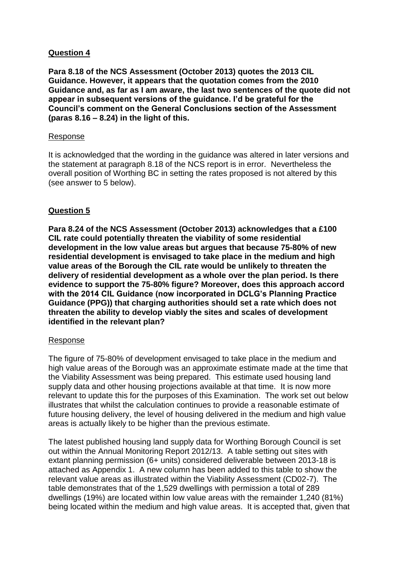## **Question 4**

**Para 8.18 of the NCS Assessment (October 2013) quotes the 2013 CIL Guidance. However, it appears that the quotation comes from the 2010 Guidance and, as far as I am aware, the last two sentences of the quote did not appear in subsequent versions of the guidance. I'd be grateful for the Council's comment on the General Conclusions section of the Assessment (paras 8.16 – 8.24) in the light of this.**

#### Response

It is acknowledged that the wording in the guidance was altered in later versions and the statement at paragraph 8.18 of the NCS report is in error. Nevertheless the overall position of Worthing BC in setting the rates proposed is not altered by this (see answer to 5 below).

## **Question 5**

**Para 8.24 of the NCS Assessment (October 2013) acknowledges that a £100 CIL rate could potentially threaten the viability of some residential development in the low value areas but argues that because 75-80% of new residential development is envisaged to take place in the medium and high value areas of the Borough the CIL rate would be unlikely to threaten the delivery of residential development as a whole over the plan period. Is there evidence to support the 75-80% figure? Moreover, does this approach accord with the 2014 CIL Guidance (now incorporated in DCLG's Planning Practice Guidance (PPG)) that charging authorities should set a rate which does not threaten the ability to develop viably the sites and scales of development identified in the relevant plan?**

#### Response

The figure of 75-80% of development envisaged to take place in the medium and high value areas of the Borough was an approximate estimate made at the time that the Viability Assessment was being prepared. This estimate used housing land supply data and other housing projections available at that time. It is now more relevant to update this for the purposes of this Examination. The work set out below illustrates that whilst the calculation continues to provide a reasonable estimate of future housing delivery, the level of housing delivered in the medium and high value areas is actually likely to be higher than the previous estimate.

The latest published housing land supply data for Worthing Borough Council is set out within the Annual Monitoring Report 2012/13. A table setting out sites with extant planning permission (6+ units) considered deliverable between 2013-18 is attached as Appendix 1. A new column has been added to this table to show the relevant value areas as illustrated within the Viability Assessment (CD02-7). The table demonstrates that of the 1,529 dwellings with permission a total of 289 dwellings (19%) are located within low value areas with the remainder 1,240 (81%) being located within the medium and high value areas. It is accepted that, given that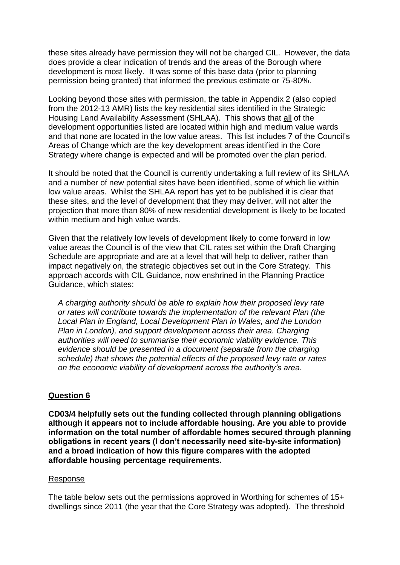these sites already have permission they will not be charged CIL. However, the data does provide a clear indication of trends and the areas of the Borough where development is most likely. It was some of this base data (prior to planning permission being granted) that informed the previous estimate or 75-80%.

Looking beyond those sites with permission, the table in Appendix 2 (also copied from the 2012-13 AMR) lists the key residential sites identified in the Strategic Housing Land Availability Assessment (SHLAA). This shows that all of the development opportunities listed are located within high and medium value wards and that none are located in the low value areas. This list includes 7 of the Council's Areas of Change which are the key development areas identified in the Core Strategy where change is expected and will be promoted over the plan period.

It should be noted that the Council is currently undertaking a full review of its SHLAA and a number of new potential sites have been identified, some of which lie within low value areas. Whilst the SHLAA report has yet to be published it is clear that these sites, and the level of development that they may deliver, will not alter the projection that more than 80% of new residential development is likely to be located within medium and high value wards.

Given that the relatively low levels of development likely to come forward in low value areas the Council is of the view that CIL rates set within the Draft Charging Schedule are appropriate and are at a level that will help to deliver, rather than impact negatively on, the strategic objectives set out in the Core Strategy. This approach accords with CIL Guidance, now enshrined in the Planning Practice Guidance, which states:

*A charging authority should be able to explain how their proposed levy rate or rates will contribute towards the implementation of the relevant Plan (the Local Plan in England, Local Development Plan in Wales, and the London Plan in London), and support development across their area. Charging authorities will need to summarise their economic viability evidence. This evidence should be presented in a document (separate from the charging schedule) that shows the potential effects of the proposed levy rate or rates on the economic viability of development across the authority's area.*

#### **Question 6**

**CD03/4 helpfully sets out the funding collected through planning obligations although it appears not to include affordable housing. Are you able to provide information on the total number of affordable homes secured through planning obligations in recent years (I don't necessarily need site-by-site information) and a broad indication of how this figure compares with the adopted affordable housing percentage requirements.**

#### Response

The table below sets out the permissions approved in Worthing for schemes of 15+ dwellings since 2011 (the year that the Core Strategy was adopted). The threshold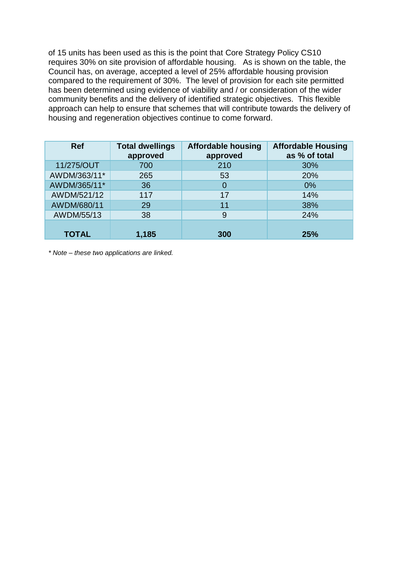of 15 units has been used as this is the point that Core Strategy Policy CS10 requires 30% on site provision of affordable housing. As is shown on the table, the Council has, on average, accepted a level of 25% affordable housing provision compared to the requirement of 30%. The level of provision for each site permitted has been determined using evidence of viability and / or consideration of the wider community benefits and the delivery of identified strategic objectives. This flexible approach can help to ensure that schemes that will contribute towards the delivery of housing and regeneration objectives continue to come forward.

| <b>Ref</b>   | <b>Total dwellings</b><br>approved | <b>Affordable housing</b><br>approved | <b>Affordable Housing</b><br>as % of total |
|--------------|------------------------------------|---------------------------------------|--------------------------------------------|
| 11/275/OUT   | 700                                | 210                                   | 30%                                        |
| AWDM/363/11* | 265                                | 53                                    | 20%                                        |
| AWDM/365/11* | 36                                 | $\overline{0}$                        | 0%                                         |
| AWDM/521/12  | 117                                | 17                                    | 14%                                        |
| AWDM/680/11  | 29                                 | 11                                    | 38%                                        |
| AWDM/55/13   | 38                                 | 9                                     | 24%                                        |
| <b>TOTAL</b> | 1,185                              | 300                                   | 25%                                        |

*\* Note – these two applications are linked.*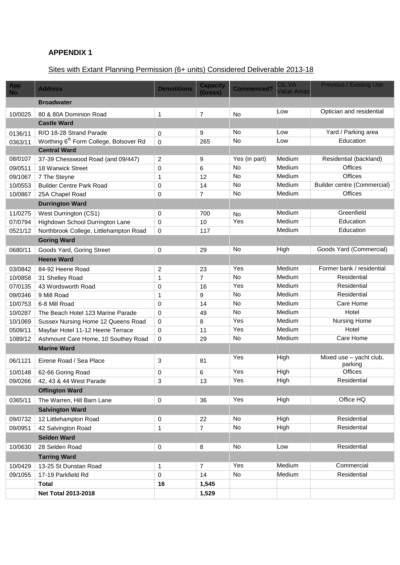# **APPENDIX 1**

# Sites with Extant Planning Permission (6+ units) Considered Deliverable 2013-18

|            |                                                    |                    |                            |                   | CIL VA             | <b>Previous / Existing Use</b>     |
|------------|----------------------------------------------------|--------------------|----------------------------|-------------------|--------------------|------------------------------------|
| App<br>No. | <b>Address</b>                                     | <b>Demolitions</b> | <b>Capacity</b><br>(Gross) | <b>Commenced?</b> | <b>Value Areas</b> |                                    |
|            | <b>Broadwater</b>                                  |                    |                            |                   |                    |                                    |
| 10/0025    | 80 & 80A Dominion Road                             | 1                  | 7                          | <b>No</b>         | Low                | Optician and residential           |
|            | <b>Castle Ward</b>                                 |                    |                            |                   |                    |                                    |
| 0136/11    | R/O 18-28 Strand Parade                            | 0                  | 9                          | No                | Low                | Yard / Parking area                |
| 0363/11    | Worthing 6 <sup>th</sup> Form College, Bolsover Rd | $\mathbf 0$        | 265                        | No                | Low                | Education                          |
|            | <b>Central Ward</b>                                |                    |                            |                   |                    |                                    |
| 08/0107    | 37-39 Chesswood Road (and 09/447)                  | $\overline{c}$     | 9                          | Yes (in part)     | Medium             | Residential (backland)             |
| 09/0511    | 18 Warwick Street                                  | 0                  | 6                          | No                | Medium             | <b>Offices</b>                     |
| 09/1067    | 7 The Steyne                                       | $\mathbf{1}$       | 12                         | <b>No</b>         | Medium             | <b>Offices</b>                     |
| 10/0553    | <b>Builder Centre Park Road</b>                    | 0                  | 14                         | <b>No</b>         | Medium             | <b>Builder centre (Commercial)</b> |
| 10/0867    | 25A Chapel Road                                    | 0                  | $\overline{7}$             | No                | Medium             | <b>Offices</b>                     |
|            | <b>Durrington Ward</b>                             |                    |                            |                   |                    |                                    |
| 11/0275    | West Durrington (CS1)                              | 0                  | 700                        | No                | Medium             | Greenfield                         |
| 07/0794    | Highdown School Durrington Lane                    | 0                  | 10                         | Yes               | Medium             | Education                          |
| 0521/12    | Northbrook College, Littlehampton Road             | 0                  | 117                        |                   | Medium             | Education                          |
|            | <b>Goring Ward</b>                                 |                    |                            |                   |                    |                                    |
| 0680/11    | Goods Yard, Goring Street                          | 0                  | 29                         | <b>No</b>         | High               | Goods Yard (Commercial)            |
|            | <b>Heene Ward</b>                                  |                    |                            |                   |                    |                                    |
| 03/0842    | 84-92 Heene Road                                   | $\overline{c}$     | 23                         | Yes               | Medium             | Former bank / residential          |
| 10/0858    | 31 Shelley Road                                    | 1                  | $\overline{7}$             | <b>No</b>         | Medium             | Residential                        |
| 07/0135    | 43 Wordsworth Road                                 | 0                  | 16                         | Yes               | Medium             | Residential                        |
| 09/0346    | 9 Mill Road                                        | 1                  | 9                          | No                | Medium             | Residential                        |
| 10/0753    | 6-8 Mill Road                                      | $\Omega$           | 14                         | No                | Medium             | Care Home                          |
| 10/0287    | The Beach Hotel 123 Marine Parade                  | $\mathbf 0$        | 49                         | <b>No</b>         | Medium             | Hotel                              |
| 10/1069    | Sussex Nursing Home 12 Queens Road                 | $\mathbf 0$        | 8                          | Yes               | Medium             | <b>Nursing Home</b>                |
| 0509/11    | Mayfair Hotel 11-12 Heene Terrace                  | $\mathbf 0$        | 11                         | Yes               | Medium             | Hotel                              |
| 1089/12    | Ashmount Care Home, 10 Southey Road                | $\Omega$           | 29                         | No                | Medium             | Care Home                          |
|            | <b>Marine Ward</b>                                 |                    |                            |                   |                    |                                    |
| 06/1121    | Eirene Road / Sea Place                            | 3                  | 81                         | Yes               | High               | Mixed use - yacht club,<br>parking |
| 10/0148    | 62-66 Goring Road                                  | 0                  | 6                          | Yes               | High               | <b>Offices</b>                     |
| 09/0266    | 42, 43 & 44 West Parade                            | 3                  | 13                         | Yes               | High               | Residential                        |
|            | <b>Offington Ward</b>                              |                    |                            |                   |                    |                                    |
| 0365/11    | The Warren, Hill Barn Lane                         | 0                  | 36                         | Yes               | High               | Office HQ                          |
|            | <b>Salvington Ward</b>                             |                    |                            |                   |                    |                                    |
| 09/0732    | 12 Littlehampton Road                              | 0                  | 22                         | No                | High               | Residential                        |
| 09/0951    | 42 Salvington Road                                 | 1                  | $\overline{7}$             | No                | High               | Residential                        |
|            | <b>Selden Ward</b>                                 |                    |                            |                   |                    |                                    |
| 10/0630    | 28 Selden Road                                     | 0                  | 8                          | No                | Low                | Residential                        |
|            | <b>Tarring Ward</b>                                |                    |                            |                   |                    |                                    |
|            |                                                    |                    | $\overline{7}$             | Yes               | Medium             | Commercial                         |
| 10/0429    | 13-25 St Dunstan Road                              | 1                  | 14                         | No                | Medium             | Residential                        |
| 09/1055    | 17-19 Parkfield Rd<br><b>Total</b>                 | 0<br>16            | 1,545                      |                   |                    |                                    |
|            | <b>Net Total 2013-2018</b>                         |                    | 1,529                      |                   |                    |                                    |
|            |                                                    |                    |                            |                   |                    |                                    |